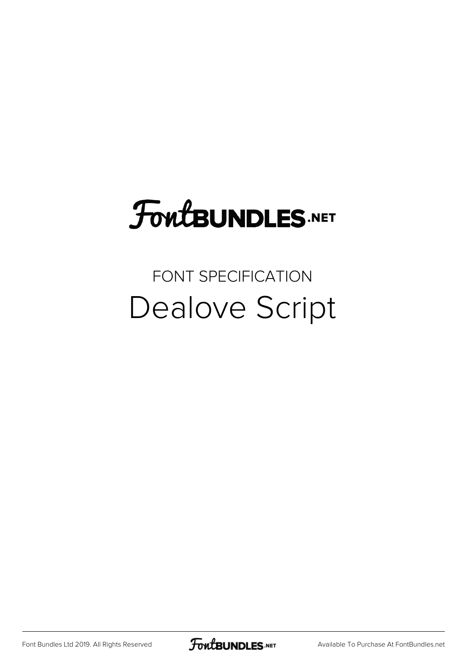# FoutBUNDLES.NET

### FONT SPECIFICATION Dealove Script

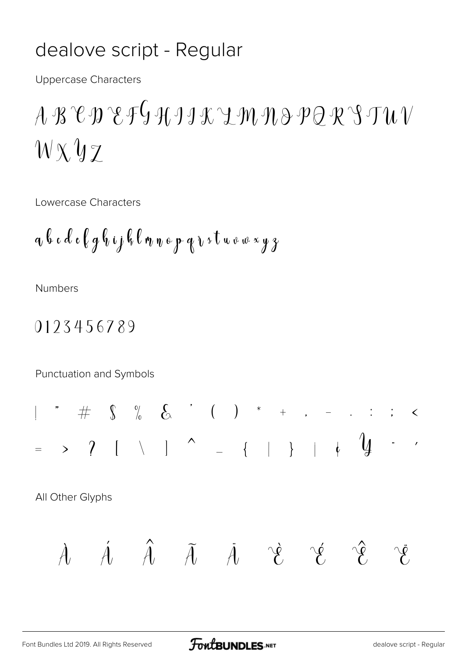#### dealove script - Regular

**Uppercase Characters** 

## $A \mathcal{B} \mathcal{C} \mathcal{D} \mathcal{C} \mathcal{F} \mathcal{G} \mathcal{H} \mathcal{I} \mathcal{I} \mathcal{K} \mathcal{L} \mathcal{M} \mathcal{H} \mathcal{B} \mathcal{P} \mathcal{Q} \mathcal{R} \mathcal{S} \mathcal{T} \mathcal{U} \mathcal{V}$  $W \times YZ$

Lowercase Characters

$$
a\;b\;c\;d\;e\;f\;g\;b\;ij\;f\;c\;n\;n\;e\;p\;q\;v\;s\;t\;u\;v\;w\;{\color{red}x\;y\;s}
$$

**Numbers** 

#### 0123456789

Punctuation and Symbols

All Other Glyphs

$$
\mathcal{A} \quad \mathcal{A} \quad \hat{\mathcal{A}} \quad \mathcal{A} \quad \mathcal{A} \quad \mathcal{B} \quad \mathcal{C} \quad \mathcal{C} \quad \mathcal{C}
$$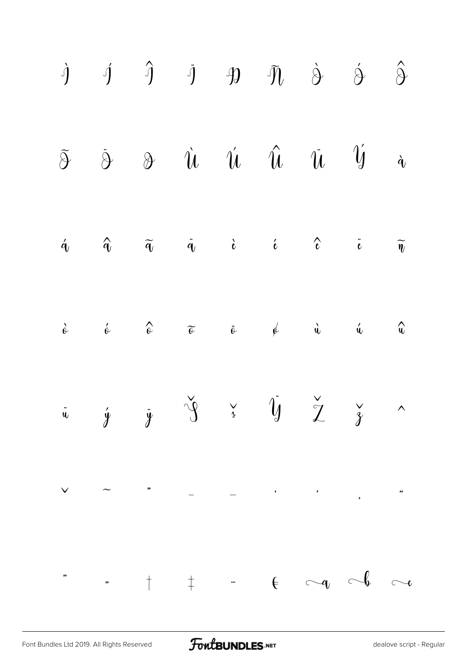|  |  |  | $\begin{array}{ccccccccccccc} \mathbf{\dot{y}} & \mathbf{\dot{y}} & \mathbf{\dot{y}} & \mathbf{\dot{y}} & \mathbf{\dot{y}} & \mathbf{\dot{y}} & \mathbf{\dot{\delta}} & \mathbf{\dot{\delta}} & \mathbf{\dot{\delta}} \end{array}$                                                                                                                                                                                                            |  |
|--|--|--|-----------------------------------------------------------------------------------------------------------------------------------------------------------------------------------------------------------------------------------------------------------------------------------------------------------------------------------------------------------------------------------------------------------------------------------------------|--|
|  |  |  | $\begin{tabular}{lllllllll} $\tilde{\mathfrak{H}}$ & $\tilde{\mathfrak{G}}$ & $\mathfrak{D}$ & $\tilde{\mathfrak{U}}$ & $\tilde{\mathfrak{U}}$ & $\tilde{\mathfrak{U}}$ & $\tilde{\mathfrak{U}}$ & $\tilde{\mathfrak{U}}$ & $\tilde{\mathfrak{U}}$ & $\tilde{\mathfrak{u}}$ \\ \end{tabular}$                                                                                                                                                 |  |
|  |  |  | $\hat{q}$ and $\hat{q}$ and $\hat{q}$ and $\hat{q}$ and $\hat{r}$ and $\hat{r}$ and $\hat{r}$ and $\hat{r}$ and $\hat{r}$ and $\hat{r}$ and $\hat{r}$ and $\hat{r}$ and $\hat{r}$ and $\hat{r}$ and $\hat{r}$ and $\hat{r}$ and $\hat{r}$ and $\hat{r}$ and $\hat{r$                                                                                                                                                                          |  |
|  |  |  | $\hat{c}$ $\hat{c}$ $\hat{c}$ $\tilde{c}$ $\hat{c}$ $\hat{\varphi}$ $\hat{u}$ $\hat{u}$ $\hat{u}$                                                                                                                                                                                                                                                                                                                                             |  |
|  |  |  | $\ddot{u}$ $\dot{y}$ $\ddot{y}$ $\frac{\gamma}{3}$ $\ddot{y}$ $\frac{\gamma}{2}$ $\frac{\gamma}{3}$ $\sim$                                                                                                                                                                                                                                                                                                                                    |  |
|  |  |  |                                                                                                                                                                                                                                                                                                                                                                                                                                               |  |
|  |  |  | $\overline{\phantom{a}}$ , $\overline{\phantom{a}}$ , $\overline{\phantom{a}}$ , $\overline{\phantom{a}}$ , $\overline{\phantom{a}}$ , $\overline{\phantom{a}}$ , $\overline{\phantom{a}}$ , $\overline{\phantom{a}}$ , $\overline{\phantom{a}}$ , $\overline{\phantom{a}}$ , $\overline{\phantom{a}}$ , $\overline{\phantom{a}}$ , $\overline{\phantom{a}}$ , $\overline{\phantom{a}}$ , $\overline{\phantom{a}}$ , $\overline{\phantom{a}}$ |  |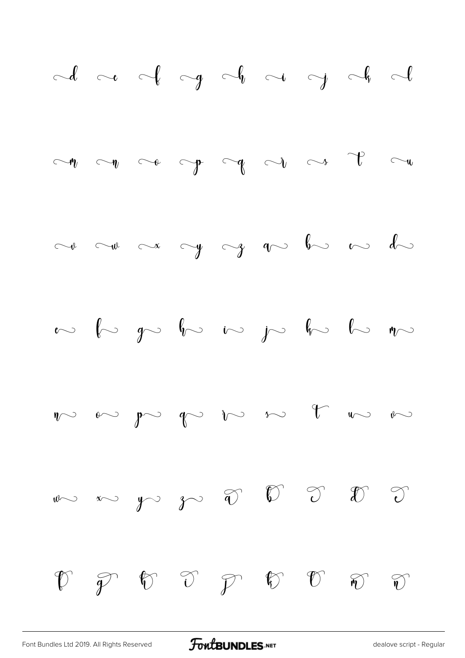